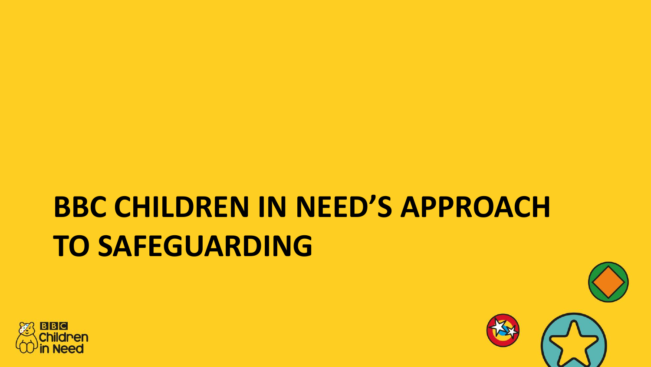### **BBC CHILDREN IN NEED'S APPROACH TO SAFEGUARDING**



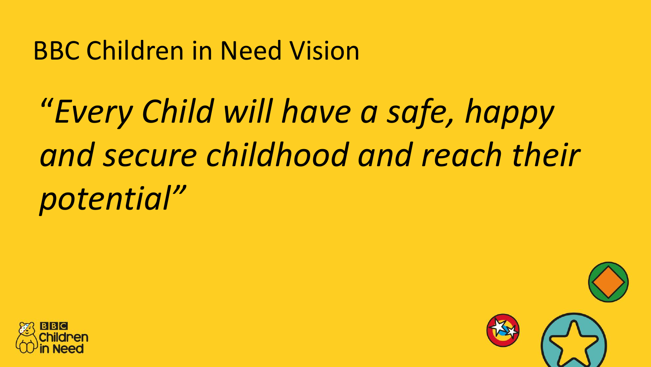### BBC Children in Need Vision

## "*Every Child will have a safe, happy and secure childhood and reach their potential"*



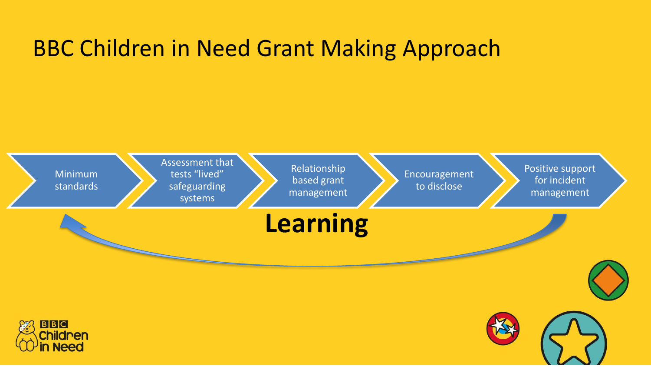#### BBC Children in Need Grant Making Approach

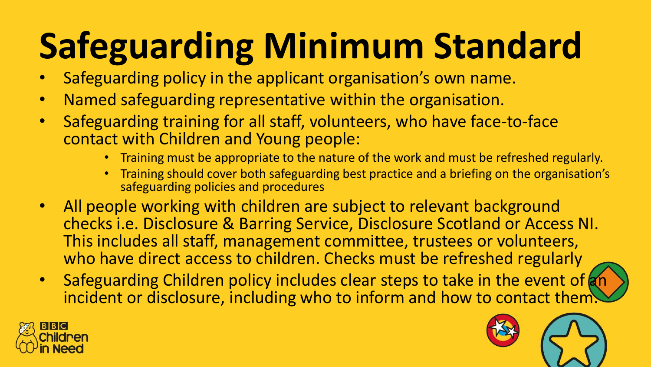# **Safeguarding Minimum Standard**

- Safeguarding policy in the applicant organisation's own name.
- Named safeguarding representative within the organisation.
- Safeguarding training for all staff, volunteers, who have face-to-face contact with Children and Young people:
	- Training must be appropriate to the nature of the work and must be refreshed regularly.
	- Training should cover both safeguarding best practice and a briefing on the organisation's safeguarding policies and procedures
- All people working with children are subject to relevant background checks i.e. Disclosure & Barring Service, Disclosure Scotland or Access NI. This includes all staff, management committee, trustees or volunteers, who have direct access to children. Checks must be refreshed regularly
- Safeguarding Children policy includes clear steps to take in the event of an incident or disclosure, including who to inform and how to contact them



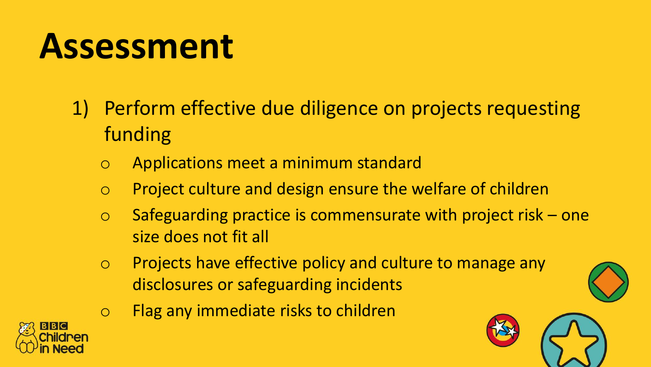### **Assessment**

- 1) Perform effective due diligence on projects requesting funding
	- o Applications meet a minimum standard
	- o Project culture and design ensure the welfare of children
	- $\circ$  Safeguarding practice is commensurate with project risk one size does not fit all
	- o Projects have effective policy and culture to manage any disclosures or safeguarding incidents
	- o Flag any immediate risks to children



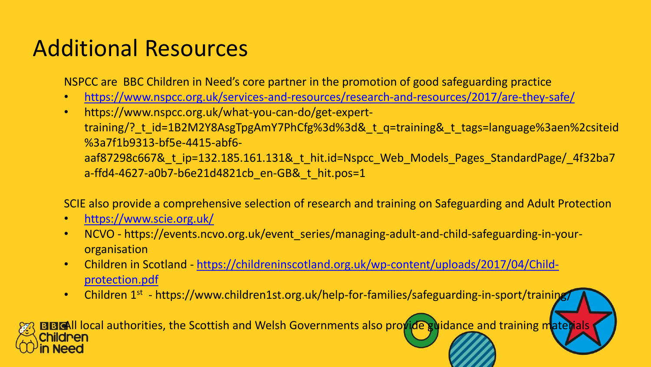#### Additional Resources

NSPCC are BBC Children in Need's core partner in the promotion of good safeguarding practice

- <https://www.nspcc.org.uk/services-and-resources/research-and-resources/2017/are-they-safe/>
- https://www.nspcc.org.uk/what-you-can-do/get-experttraining/? t\_id=1B2M2Y8AsgTpgAmY7PhCfg%3d%3d&\_t\_q=training&\_t\_tags=language%3aen%2csiteid %3a7f1b9313-bf5e-4415-abf6 aaf87298c667& t ip=132.185.161.131& t hit.id=Nspcc Web Models Pages StandardPage/ 4f32ba7 a-ffd4-4627-a0b7-b6e21d4821cb\_en-GB&\_t\_hit.pos=1

SCIE also provide a comprehensive selection of research and training on Safeguarding and Adult Protection

- <https://www.scie.org.uk/>
- NCVO https://events.ncvo.org.uk/event\_series/managing-adult-and-child-safeguarding-in-yourorganisation
- Children in Scotland [https://childreninscotland.org.uk/wp-content/uploads/2017/04/Child](https://childreninscotland.org.uk/wp-content/uploads/2017/04/Child-protection.pdf)protection.pdf
- Children 1<sup>st</sup> https://www.children1st.org.uk/help-for-families/safeguarding-in-sport/training/

BBCAll local authorities, the Scottish and Welsh Governments also provide guidance and training materials